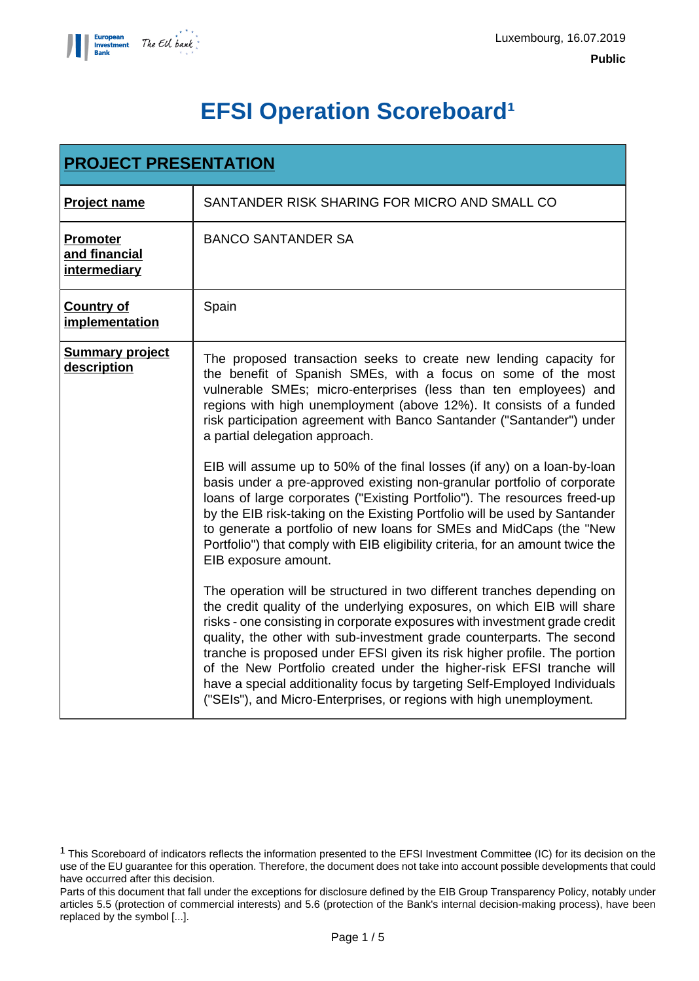

# **EFSI Operation Scoreboard<sup>1</sup>**

| <b>PROJECT PRESENTATION</b>                      |                                                                                                                                                                                                                                                                                                                                                                                                                                                                                                                                                                                                                    |  |
|--------------------------------------------------|--------------------------------------------------------------------------------------------------------------------------------------------------------------------------------------------------------------------------------------------------------------------------------------------------------------------------------------------------------------------------------------------------------------------------------------------------------------------------------------------------------------------------------------------------------------------------------------------------------------------|--|
| <b>Project name</b>                              | SANTANDER RISK SHARING FOR MICRO AND SMALL CO                                                                                                                                                                                                                                                                                                                                                                                                                                                                                                                                                                      |  |
| <b>Promoter</b><br>and financial<br>intermediary | <b>BANCO SANTANDER SA</b>                                                                                                                                                                                                                                                                                                                                                                                                                                                                                                                                                                                          |  |
| <b>Country of</b><br>implementation              | Spain                                                                                                                                                                                                                                                                                                                                                                                                                                                                                                                                                                                                              |  |
| <b>Summary project</b><br>description            | The proposed transaction seeks to create new lending capacity for<br>the benefit of Spanish SMEs, with a focus on some of the most<br>vulnerable SMEs; micro-enterprises (less than ten employees) and<br>regions with high unemployment (above 12%). It consists of a funded<br>risk participation agreement with Banco Santander ("Santander") under<br>a partial delegation approach.                                                                                                                                                                                                                           |  |
|                                                  | EIB will assume up to 50% of the final losses (if any) on a loan-by-loan<br>basis under a pre-approved existing non-granular portfolio of corporate<br>loans of large corporates ("Existing Portfolio"). The resources freed-up<br>by the EIB risk-taking on the Existing Portfolio will be used by Santander<br>to generate a portfolio of new loans for SMEs and MidCaps (the "New<br>Portfolio") that comply with EIB eligibility criteria, for an amount twice the<br>EIB exposure amount.                                                                                                                     |  |
|                                                  | The operation will be structured in two different tranches depending on<br>the credit quality of the underlying exposures, on which EIB will share<br>risks - one consisting in corporate exposures with investment grade credit<br>quality, the other with sub-investment grade counterparts. The second<br>tranche is proposed under EFSI given its risk higher profile. The portion<br>of the New Portfolio created under the higher-risk EFSI tranche will<br>have a special additionality focus by targeting Self-Employed Individuals<br>("SEIs"), and Micro-Enterprises, or regions with high unemployment. |  |

<sup>1</sup> This Scoreboard of indicators reflects the information presented to the EFSI Investment Committee (IC) for its decision on the use of the EU guarantee for this operation. Therefore, the document does not take into account possible developments that could have occurred after this decision.

Parts of this document that fall under the exceptions for disclosure defined by the EIB Group Transparency Policy, notably under articles 5.5 (protection of commercial interests) and 5.6 (protection of the Bank's internal decision-making process), have been replaced by the symbol [...].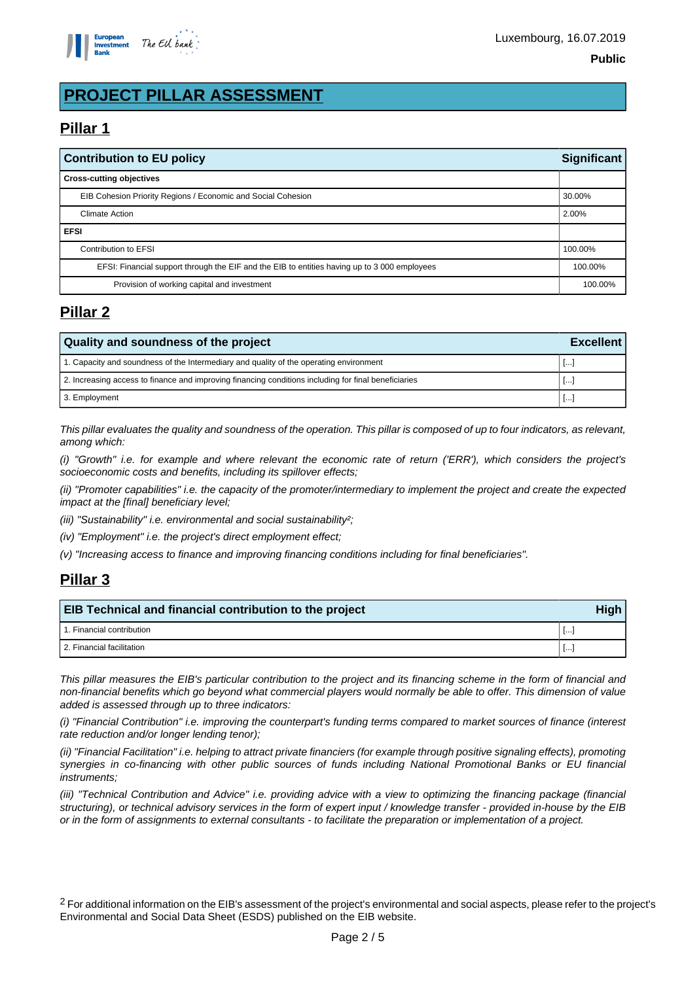

# **PROJECT PILLAR ASSESSMENT**

# **Pillar 1**

| <b>Contribution to EU policy</b>                                                             |         |
|----------------------------------------------------------------------------------------------|---------|
| <b>Cross-cutting objectives</b>                                                              |         |
| EIB Cohesion Priority Regions / Economic and Social Cohesion                                 | 30.00%  |
| <b>Climate Action</b>                                                                        | 2.00%   |
| <b>EFSI</b>                                                                                  |         |
| Contribution to EFSI                                                                         | 100.00% |
| EFSI: Financial support through the EIF and the EIB to entities having up to 3 000 employees |         |
| Provision of working capital and investment                                                  |         |

## **Pillar 2**

| Quality and soundness of the project                                                                 |               |  |
|------------------------------------------------------------------------------------------------------|---------------|--|
| 1. Capacity and soundness of the Intermediary and quality of the operating environment               | l I. <u>.</u> |  |
| 2. Increasing access to finance and improving financing conditions including for final beneficiaries | Ⅰ Ⅰ…          |  |
| 3. Employment                                                                                        | l I. <u>.</u> |  |

This pillar evaluates the quality and soundness of the operation. This pillar is composed of up to four indicators, as relevant, among which:

(i) "Growth" i.e. for example and where relevant the economic rate of return ('ERR'), which considers the project's socioeconomic costs and benefits, including its spillover effects;

(ii) "Promoter capabilities" i.e. the capacity of the promoter/intermediary to implement the project and create the expected impact at the [final] beneficiary level;

(iii) "Sustainability" i.e. environmental and social sustainability?;

(iv) "Employment" i.e. the project's direct employment effect;

(v) "Increasing access to finance and improving financing conditions including for final beneficiaries".

## **Pillar 3**

| <b>EIB Technical and financial contribution to the project</b> |       |  |
|----------------------------------------------------------------|-------|--|
| 1. Financial contribution                                      | -1000 |  |
| 2. Financial facilitation                                      | -1000 |  |

This pillar measures the EIB's particular contribution to the project and its financing scheme in the form of financial and non-financial benefits which go beyond what commercial players would normally be able to offer. This dimension of value added is assessed through up to three indicators:

(i) "Financial Contribution" i.e. improving the counterpart's funding terms compared to market sources of finance (interest rate reduction and/or longer lending tenor);

(ii) "Financial Facilitation" i.e. helping to attract private financiers (for example through positive signaling effects), promoting synergies in co-financing with other public sources of funds including National Promotional Banks or EU financial instruments;

(iii) "Technical Contribution and Advice" i.e. providing advice with a view to optimizing the financing package (financial structuring), or technical advisory services in the form of expert input / knowledge transfer - provided in-house by the EIB or in the form of assignments to external consultants - to facilitate the preparation or implementation of a project.

<sup>2</sup> For additional information on the EIB's assessment of the project's environmental and social aspects, please refer to the project's Environmental and Social Data Sheet (ESDS) published on the EIB website.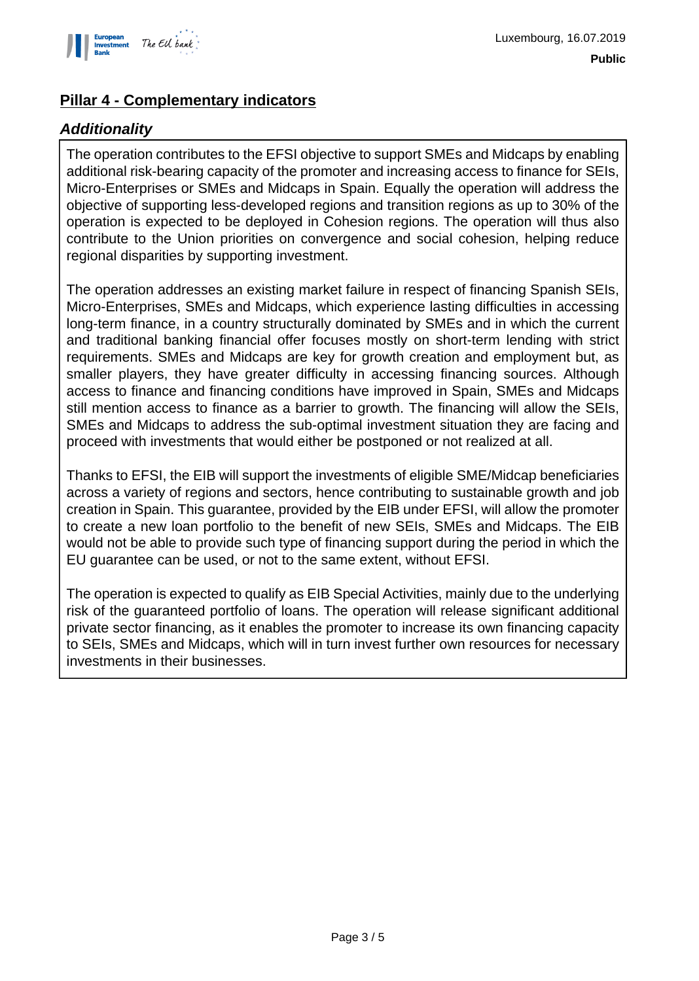

## **Pillar 4 - Complementary indicators**

#### **Additionality**

The operation contributes to the EFSI objective to support SMEs and Midcaps by enabling additional risk-bearing capacity of the promoter and increasing access to finance for SEIs, Micro-Enterprises or SMEs and Midcaps in Spain. Equally the operation will address the objective of supporting less-developed regions and transition regions as up to 30% of the operation is expected to be deployed in Cohesion regions. The operation will thus also contribute to the Union priorities on convergence and social cohesion, helping reduce regional disparities by supporting investment.

The operation addresses an existing market failure in respect of financing Spanish SEIs, Micro-Enterprises, SMEs and Midcaps, which experience lasting difficulties in accessing long-term finance, in a country structurally dominated by SMEs and in which the current and traditional banking financial offer focuses mostly on short-term lending with strict requirements. SMEs and Midcaps are key for growth creation and employment but, as smaller players, they have greater difficulty in accessing financing sources. Although access to finance and financing conditions have improved in Spain, SMEs and Midcaps still mention access to finance as a barrier to growth. The financing will allow the SEIs, SMEs and Midcaps to address the sub-optimal investment situation they are facing and proceed with investments that would either be postponed or not realized at all.

Thanks to EFSI, the EIB will support the investments of eligible SME/Midcap beneficiaries across a variety of regions and sectors, hence contributing to sustainable growth and job creation in Spain. This guarantee, provided by the EIB under EFSI, will allow the promoter to create a new loan portfolio to the benefit of new SEIs, SMEs and Midcaps. The EIB would not be able to provide such type of financing support during the period in which the EU guarantee can be used, or not to the same extent, without EFSI.

The operation is expected to qualify as EIB Special Activities, mainly due to the underlying risk of the guaranteed portfolio of loans. The operation will release significant additional private sector financing, as it enables the promoter to increase its own financing capacity to SEIs, SMEs and Midcaps, which will in turn invest further own resources for necessary investments in their businesses.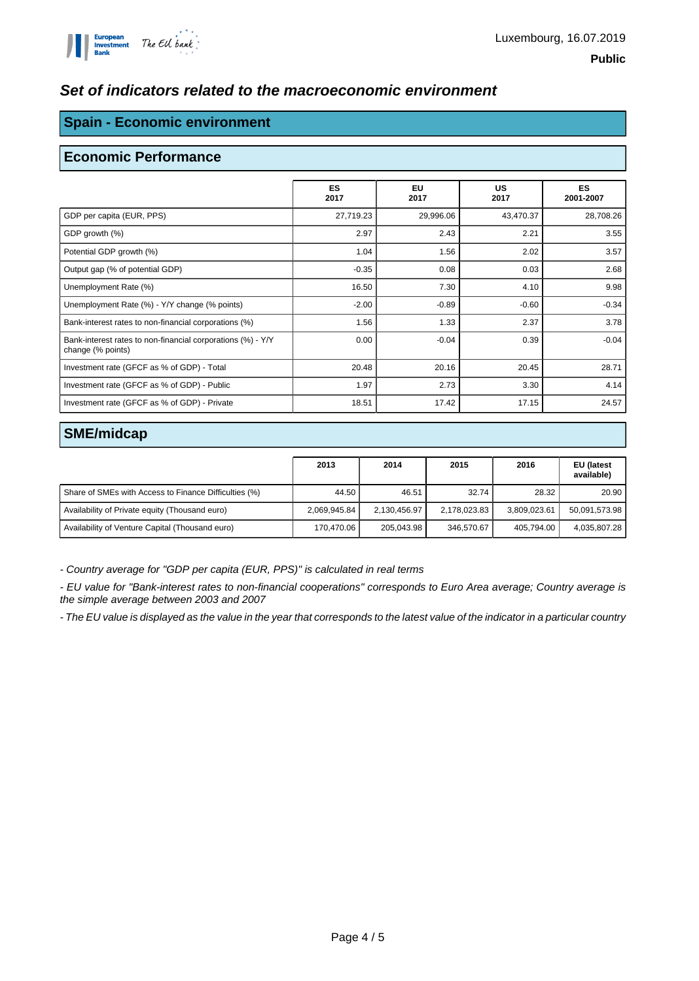#### **Set of indicators related to the macroeconomic environment**

#### **Spain - Economic environment**

#### **Economic Performance**

|                                                                                  | <b>ES</b><br>2017 | <b>EU</b><br>2017 | <b>US</b><br>2017 | <b>ES</b><br>2001-2007 |
|----------------------------------------------------------------------------------|-------------------|-------------------|-------------------|------------------------|
| GDP per capita (EUR, PPS)                                                        | 27,719.23         | 29,996.06         | 43,470.37         | 28,708.26              |
| GDP growth (%)                                                                   | 2.97              | 2.43              | 2.21              | 3.55                   |
| Potential GDP growth (%)                                                         | 1.04              | 1.56              | 2.02              | 3.57                   |
| Output gap (% of potential GDP)                                                  | $-0.35$           | 0.08              | 0.03              | 2.68                   |
| Unemployment Rate (%)                                                            | 16.50             | 7.30              | 4.10              | 9.98                   |
| Unemployment Rate (%) - Y/Y change (% points)                                    | $-2.00$           | $-0.89$           | $-0.60$           | $-0.34$                |
| Bank-interest rates to non-financial corporations (%)                            | 1.56              | 1.33              | 2.37              | 3.78                   |
| Bank-interest rates to non-financial corporations (%) - Y/Y<br>change (% points) | 0.00              | $-0.04$           | 0.39              | $-0.04$                |
| Investment rate (GFCF as % of GDP) - Total                                       | 20.48             | 20.16             | 20.45             | 28.71                  |
| Investment rate (GFCF as % of GDP) - Public                                      | 1.97              | 2.73              | 3.30              | 4.14                   |
| Investment rate (GFCF as % of GDP) - Private                                     | 18.51             | 17.42             | 17.15             | 24.57                  |

#### **SME/midcap**

|                                                       | 2013         | 2014         | 2015         | 2016         | EU (latest<br>available) |
|-------------------------------------------------------|--------------|--------------|--------------|--------------|--------------------------|
| Share of SMEs with Access to Finance Difficulties (%) | 44.50        | 46.51        | 32.74        | 28.32        | 20.90                    |
| Availability of Private equity (Thousand euro)        | 2,069,945.84 | 2,130,456.97 | 2,178,023.83 | 3,809,023.61 | 50,091,573.98            |
| Availability of Venture Capital (Thousand euro)       | 170.470.06   | 205.043.98   | 346.570.67   | 405.794.00   | 4,035,807.28             |

- Country average for "GDP per capita (EUR, PPS)" is calculated in real terms

- EU value for "Bank-interest rates to non-financial cooperations" corresponds to Euro Area average; Country average is the simple average between 2003 and 2007

- The EU value is displayed as the value in the year that corresponds to the latest value of the indicator in a particular country